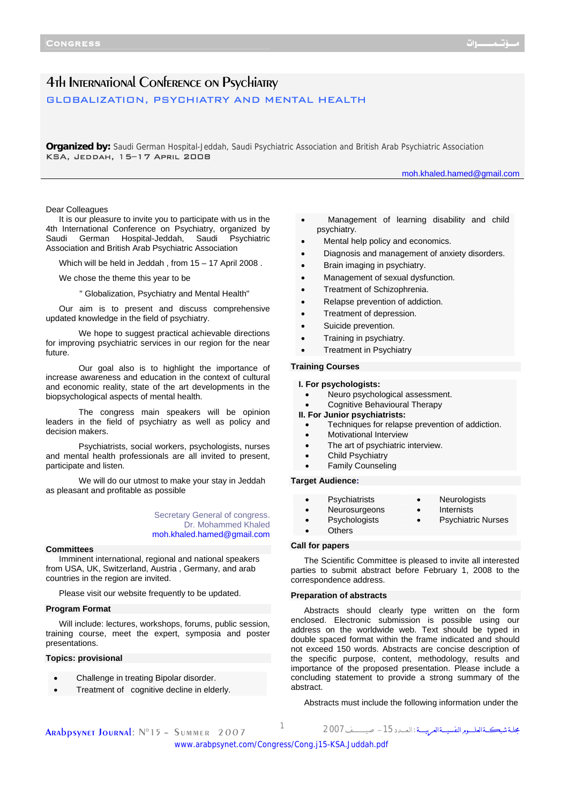# 4th International Conference on Psychiatry GLOBALIZATION, PSYCHIATRY AND MENTAL HEALTH

**Organized by:** Saudi German Hospital-Jeddah, Saudi Psychiatric Association and British Arab Psychiatric Association KSA, Jeddah, 15–17 April 2008

moh.khaled.hamed@gmail.com

## Dear Colleagues

It is our pleasure to invite you to participate with us in the 4th International Conference on Psychiatry, organized by Saudi German Hospital-Jeddah, Saudi Psychiatric Association and British Arab Psychiatric Association

Which will be held in Jeddah , from 15 – 17 April 2008 .

We chose the theme this year to be

" Globalization, Psychiatry and Mental Health"

Our aim is to present and discuss comprehensive updated knowledge in the field of psychiatry.

 We hope to suggest practical achievable directions for improving psychiatric services in our region for the near future.

 Our goal also is to highlight the importance of increase awareness and education in the context of cultural and economic reality, state of the art developments in the biopsychological aspects of mental health.

 The congress main speakers will be opinion leaders in the field of psychiatry as well as policy and decision makers.

 Psychiatrists, social workers, psychologists, nurses and mental health professionals are all invited to present, participate and listen.

 We will do our utmost to make your stay in Jeddah as pleasant and profitable as possible

> Secretary General of congress. Dr. Mohammed Khaled moh.khaled.hamed@gmail.com

#### **Committees**

Imminent international, regional and national speakers from USA, UK, Switzerland, Austria , Germany, and arab countries in the region are invited.

Please visit our website frequently to be updated.

# **Program Format**

Will include: lectures, workshops, forums, public session, training course, meet the expert, symposia and poster presentations.

# **Topics: provisional**

- Challenge in treating Bipolar disorder.
- Treatment of cognitive decline in elderly.
- Management of learning disability and child psychiatry.
- Mental help policy and economics.
- Diagnosis and management of anxiety disorders.
- Brain imaging in psychiatry.
- Management of sexual dysfunction.
- Treatment of Schizophrenia.
- Relapse prevention of addiction.
- Treatment of depression.
- Suicide prevention.
- Training in psychiatry.
- **Treatment in Psychiatry**

# **Training Courses**

## **I. For psychologists:**

- Neuro psychological assessment.
- Cognitive Behavioural Therapy
- **II. For Junior psychiatrists:**
	- Techniques for relapse prevention of addiction.
- Motivational Interview
- The art of psychiatric interview.
- Child Psychiatry
- Family Counseling

# **Target Audience:**

- Psychiatrists Neurologists
- Neurosurgeons Internists
- Psychologists Psychiatric Nurses
- **Others**

## **Call for papers**

The Scientific Committee is pleased to invite all interested parties to submit abstract before February 1, 2008 to the correspondence address.

## **Preparation of abstracts**

Abstracts should clearly type written on the form enclosed. Electronic submission is possible using our address on the worldwide web. Text should be typed in double spaced format within the frame indicated and should not exceed 150 words. Abstracts are concise description of the specific purpose, content, methodology, results and importance of the proposed presentation. Please include a concluding statement to provide a strong summary of the abstract.

Abstracts must include the following information under the

مجلــةشبكـــةالعلــــــومالنفسيــــةالعربيـــــة :الـعــــدد-<sup>15</sup> صيــــــــــــف<sup>2007</sup> <sup>1</sup>

[www.arabpsynet.com/Congress/Cong.j15-KSA.Juddah.pdf](www.arabpsynet.com/Congress/Cong.j15-KSA.Juddah.pdf )